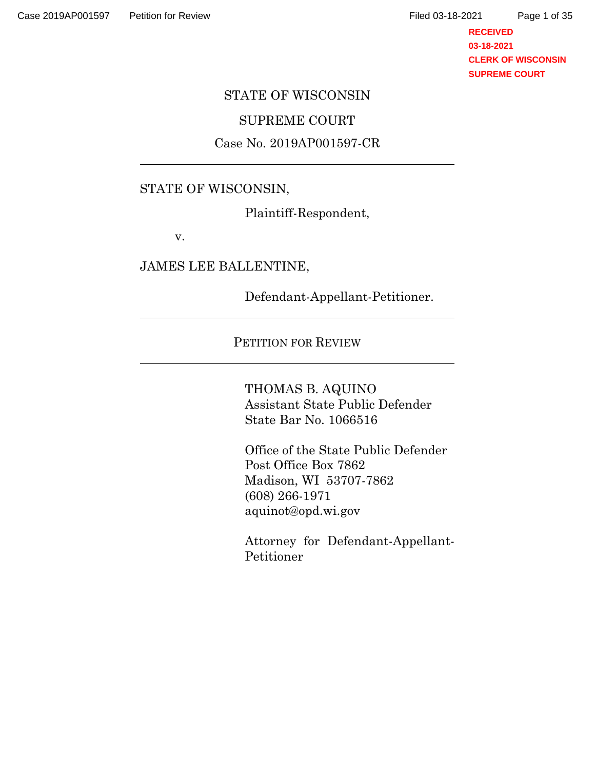**RECEIVED 03-18-2021 CLERK OF WISCONSIN SUPREME COURT**

### STATE OF WISCONSIN

## SUPREME COURT

### Case No. 2019AP001597-CR

## STATE OF WISCONSIN,

Plaintiff-Respondent,

v.

JAMES LEE BALLENTINE,

Defendant-Appellant-Petitioner.

#### PETITION FOR REVIEW

THOMAS B. AQUINO Assistant State Public Defender State Bar No. 1066516

Office of the State Public Defender Post Office Box 7862 Madison, WI 53707-7862 (608) 266-1971 aquinot@opd.wi.gov

Attorney for Defendant-Appellant-Petitioner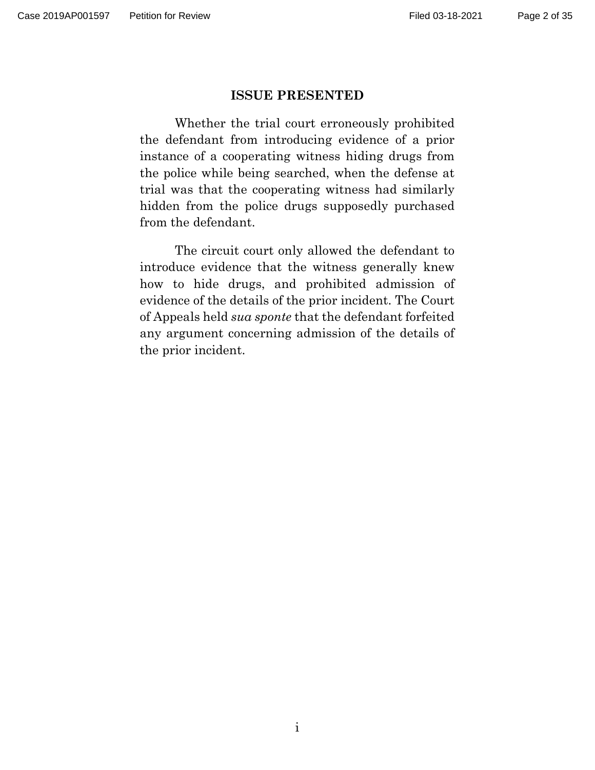#### **ISSUE PRESENTED**

Whether the trial court erroneously prohibited the defendant from introducing evidence of a prior instance of a cooperating witness hiding drugs from the police while being searched, when the defense at trial was that the cooperating witness had similarly hidden from the police drugs supposedly purchased from the defendant.

The circuit court only allowed the defendant to introduce evidence that the witness generally knew how to hide drugs, and prohibited admission of evidence of the details of the prior incident. The Court of Appeals held *sua sponte* that the defendant forfeited any argument concerning admission of the details of the prior incident.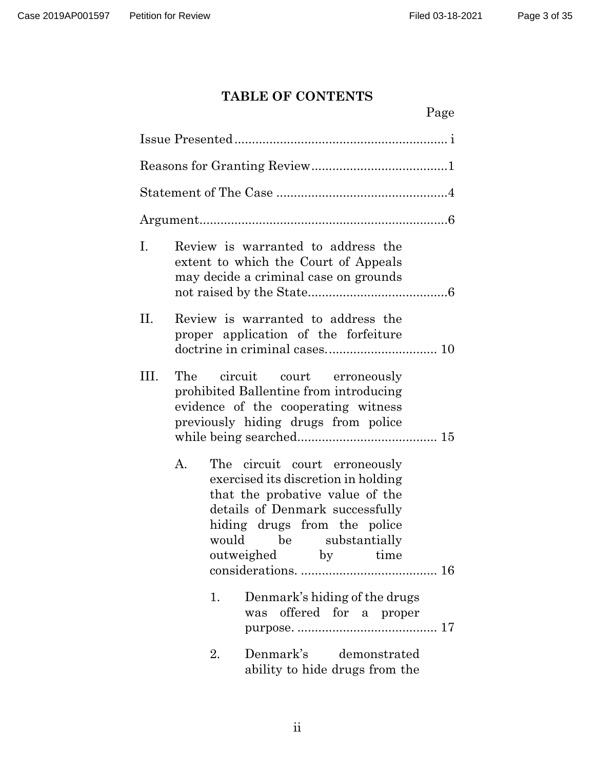Page

# **TABLE OF CONTENTS**

| Ι.   | Review is warranted to address the<br>extent to which the Court of Appeals<br>may decide a criminal case on grounds                                                                                                        |  |  |  |  |
|------|----------------------------------------------------------------------------------------------------------------------------------------------------------------------------------------------------------------------------|--|--|--|--|
| Η.   | Review is warranted to address the<br>proper application of the forfeiture                                                                                                                                                 |  |  |  |  |
| III. | The circuit court erroneously<br>prohibited Ballentine from introducing<br>evidence of the cooperating witness<br>previously hiding drugs from police                                                                      |  |  |  |  |
| A.   | The circuit court erroneously<br>exercised its discretion in holding<br>that the probative value of the<br>details of Denmark successfully<br>hiding drugs from the police<br>would be substantially<br>outweighed by time |  |  |  |  |
|      | 1.<br>Denmark's hiding of the drugs<br>offered for a proper<br>was                                                                                                                                                         |  |  |  |  |
|      | Denmark's<br>2.<br>demonstrated<br>ability to hide drugs from the                                                                                                                                                          |  |  |  |  |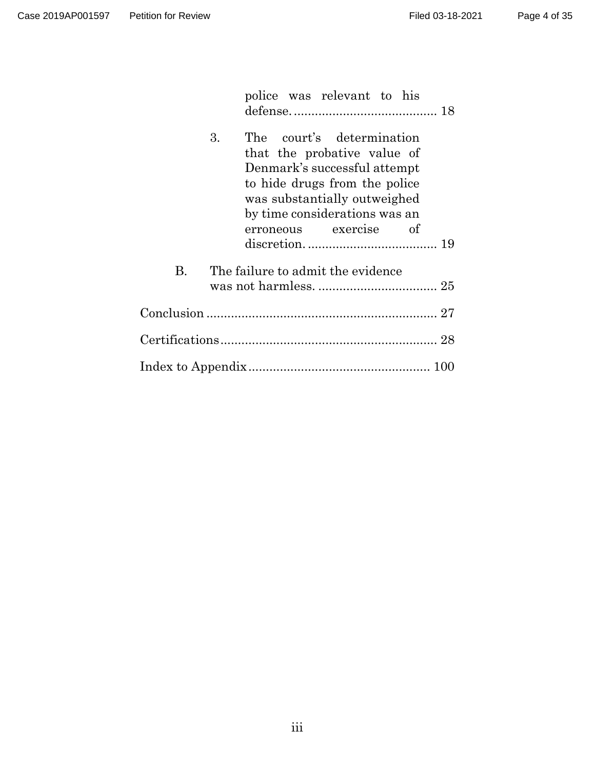|    |    |                                   | police was relevant to his                                                                                                                                                                                |  |  |
|----|----|-----------------------------------|-----------------------------------------------------------------------------------------------------------------------------------------------------------------------------------------------------------|--|--|
|    | 3. | erroneous                         | The court's determination<br>that the probative value of<br>Denmark's successful attempt<br>to hide drugs from the police<br>was substantially outweighed<br>by time considerations was an<br>exercise of |  |  |
| B. |    | The failure to admit the evidence |                                                                                                                                                                                                           |  |  |
|    |    |                                   |                                                                                                                                                                                                           |  |  |
|    |    |                                   |                                                                                                                                                                                                           |  |  |
|    |    |                                   |                                                                                                                                                                                                           |  |  |
|    |    |                                   |                                                                                                                                                                                                           |  |  |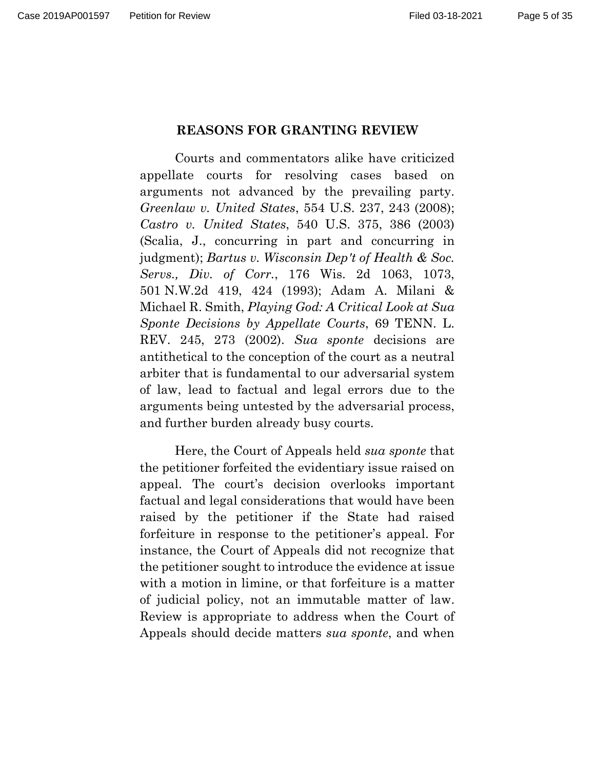### **REASONS FOR GRANTING REVIEW**

Courts and commentators alike have criticized appellate courts for resolving cases based on arguments not advanced by the prevailing party. *Greenlaw v. United States*, 554 U.S. 237, 243 (2008); *Castro v. United States*, 540 U.S. 375, 386 (2003) (Scalia, J., concurring in part and concurring in judgment); *Bartus v. Wisconsin Dep't of Health & Soc. Servs., Div. of Corr.*, 176 Wis. 2d 1063, 1073, 501 N.W.2d 419, 424 (1993); Adam A. Milani & Michael R. Smith, *Playing God: A Critical Look at Sua Sponte Decisions by Appellate Courts*, 69 TENN. L. REV. 245, 273 (2002). *Sua sponte* decisions are antithetical to the conception of the court as a neutral arbiter that is fundamental to our adversarial system of law, lead to factual and legal errors due to the arguments being untested by the adversarial process, and further burden already busy courts.

Here, the Court of Appeals held *sua sponte* that the petitioner forfeited the evidentiary issue raised on appeal. The court's decision overlooks important factual and legal considerations that would have been raised by the petitioner if the State had raised forfeiture in response to the petitioner's appeal. For instance, the Court of Appeals did not recognize that the petitioner sought to introduce the evidence at issue with a motion in limine, or that forfeiture is a matter of judicial policy, not an immutable matter of law. Review is appropriate to address when the Court of Appeals should decide matters *sua sponte*, and when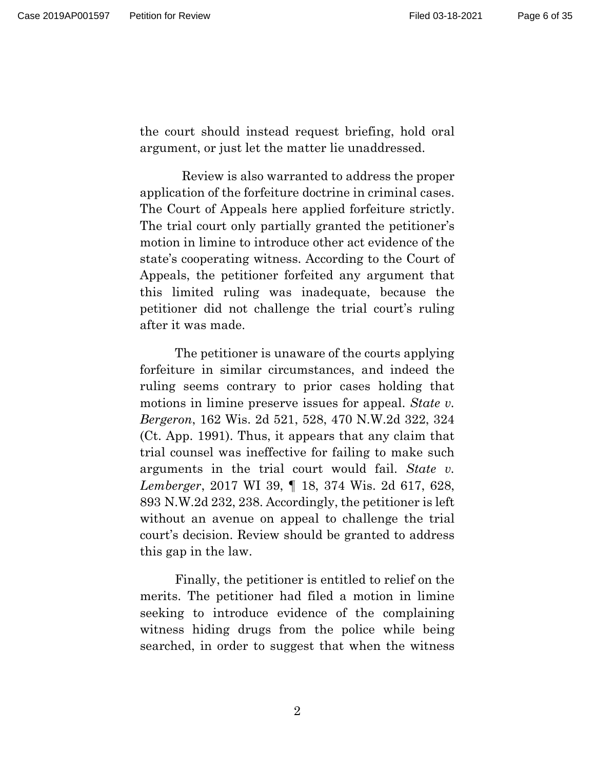the court should instead request briefing, hold oral argument, or just let the matter lie unaddressed.

 Review is also warranted to address the proper application of the forfeiture doctrine in criminal cases. The Court of Appeals here applied forfeiture strictly. The trial court only partially granted the petitioner's motion in limine to introduce other act evidence of the state's cooperating witness. According to the Court of Appeals, the petitioner forfeited any argument that this limited ruling was inadequate, because the petitioner did not challenge the trial court's ruling after it was made.

The petitioner is unaware of the courts applying forfeiture in similar circumstances, and indeed the ruling seems contrary to prior cases holding that motions in limine preserve issues for appeal. *State v. Bergeron*, 162 Wis. 2d 521, 528, 470 N.W.2d 322, 324 (Ct. App. 1991). Thus, it appears that any claim that trial counsel was ineffective for failing to make such arguments in the trial court would fail. *State v. Lemberger*, 2017 WI 39, ¶ 18, 374 Wis. 2d 617, 628, 893 N.W.2d 232, 238. Accordingly, the petitioner is left without an avenue on appeal to challenge the trial court's decision. Review should be granted to address this gap in the law.

Finally, the petitioner is entitled to relief on the merits. The petitioner had filed a motion in limine seeking to introduce evidence of the complaining witness hiding drugs from the police while being searched, in order to suggest that when the witness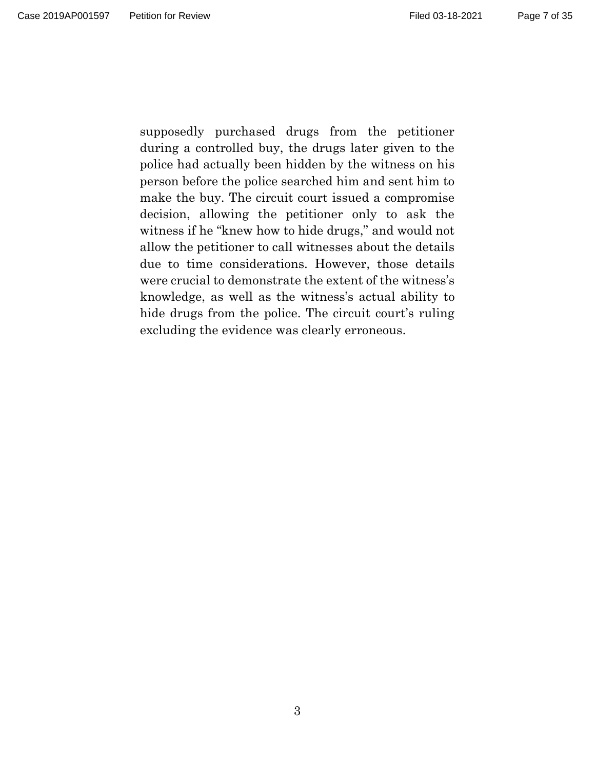Page 7 of 35

supposedly purchased drugs from the petitioner during a controlled buy, the drugs later given to the police had actually been hidden by the witness on his person before the police searched him and sent him to make the buy. The circuit court issued a compromise decision, allowing the petitioner only to ask the witness if he "knew how to hide drugs," and would not allow the petitioner to call witnesses about the details due to time considerations. However, those details were crucial to demonstrate the extent of the witness's knowledge, as well as the witness's actual ability to hide drugs from the police. The circuit court's ruling excluding the evidence was clearly erroneous.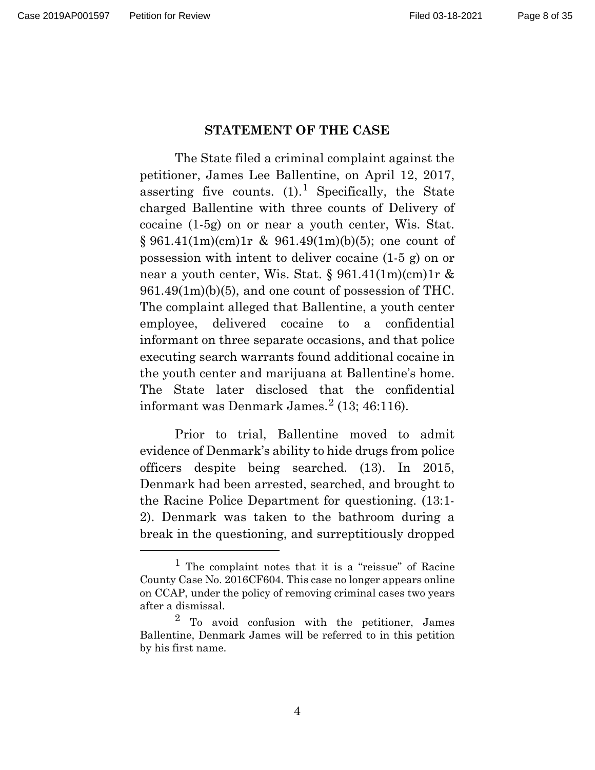#### **STATEMENT OF THE CASE**

The State filed a criminal complaint against the petitioner, James Lee Ballentine, on April 12, 2017, asserting five counts.  $(1)$  $(1)$  $(1)$ . Specifically, the State charged Ballentine with three counts of Delivery of cocaine (1-5g) on or near a youth center, Wis. Stat. § 961.41(1m)(cm)1r & 961.49(1m)(b)(5); one count of possession with intent to deliver cocaine (1-5 g) on or near a youth center, Wis. Stat.  $\S 961.41(1m)(cm)1r \&$ 961.49(1m)(b)(5), and one count of possession of THC. The complaint alleged that Ballentine, a youth center employee, delivered cocaine to a confidential informant on three separate occasions, and that police executing search warrants found additional cocaine in the youth center and marijuana at Ballentine's home. The State later disclosed that the confidential informant was Denmark James. $2$  (13; 46:116).

Prior to trial, Ballentine moved to admit evidence of Denmark's ability to hide drugs from police officers despite being searched. (13). In 2015, Denmark had been arrested, searched, and brought to the Racine Police Department for questioning. (13:1- 2). Denmark was taken to the bathroom during a break in the questioning, and surreptitiously dropped

<span id="page-7-0"></span><sup>&</sup>lt;sup>1</sup> The complaint notes that it is a "reissue" of Racine County Case No. 2016CF604. This case no longer appears online on CCAP, under the policy of removing criminal cases two years after a dismissal.

<span id="page-7-1"></span><sup>2</sup> To avoid confusion with the petitioner, James Ballentine, Denmark James will be referred to in this petition by his first name.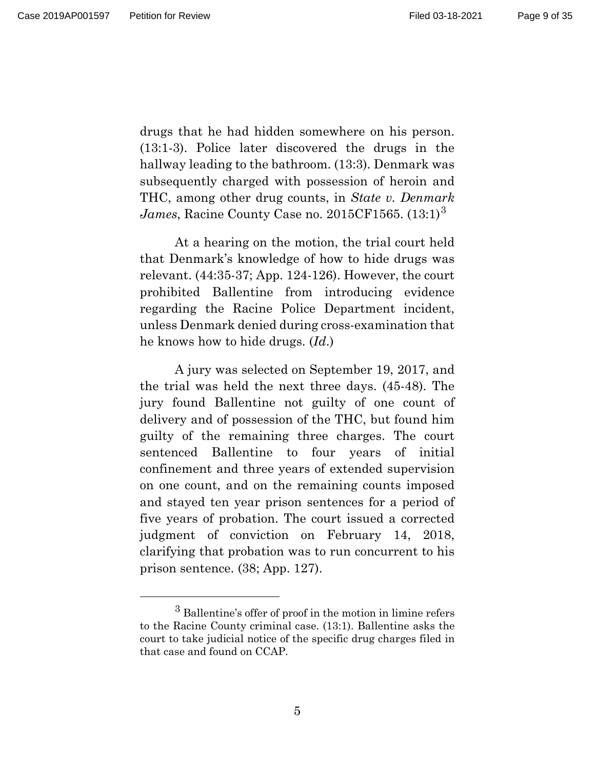Page 9 of 35

drugs that he had hidden somewhere on his person. (13:1-3). Police later discovered the drugs in the hallway leading to the bathroom. (13:3). Denmark was subsequently charged with possession of heroin and THC, among other drug counts, in *State v. Denmark James*, Racine County Case no. 2015CF1565. (13:1)[3](#page-8-0)

At a hearing on the motion, the trial court held that Denmark's knowledge of how to hide drugs was relevant. (44:35-37; App. 124-126). However, the court prohibited Ballentine from introducing evidence regarding the Racine Police Department incident, unless Denmark denied during cross-examination that he knows how to hide drugs. (*Id*.)

A jury was selected on September 19, 2017, and the trial was held the next three days. (45-48). The jury found Ballentine not guilty of one count of delivery and of possession of the THC, but found him guilty of the remaining three charges. The court sentenced Ballentine to four years of initial confinement and three years of extended supervision on one count, and on the remaining counts imposed and stayed ten year prison sentences for a period of five years of probation. The court issued a corrected judgment of conviction on February 14, 2018, clarifying that probation was to run concurrent to his prison sentence. (38; App. 127).

<span id="page-8-0"></span> $^3$  Ballentine's offer of proof in the motion in limine refers to the Racine County criminal case. (13:1). Ballentine asks the court to take judicial notice of the specific drug charges filed in that case and found on CCAP.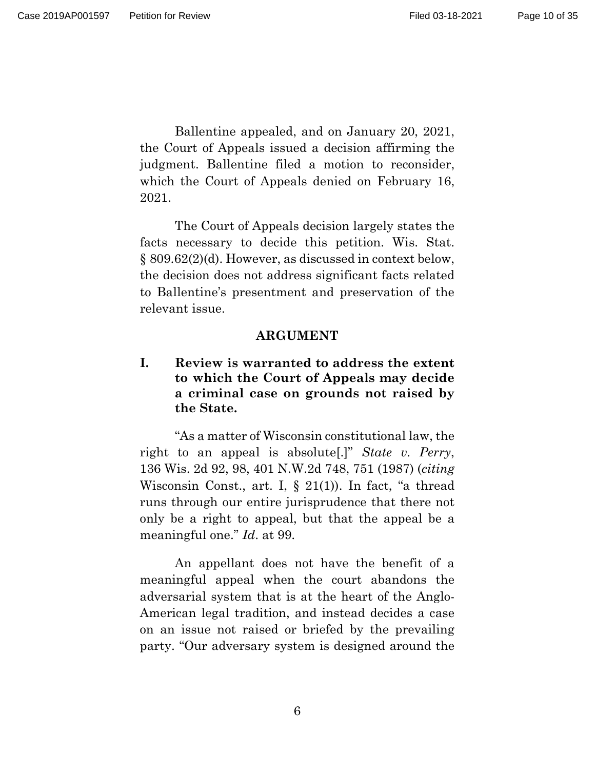Ballentine appealed, and on January 20, 2021, the Court of Appeals issued a decision affirming the judgment. Ballentine filed a motion to reconsider, which the Court of Appeals denied on February 16, 2021.

The Court of Appeals decision largely states the facts necessary to decide this petition. Wis. Stat. § 809.62(2)(d). However, as discussed in context below, the decision does not address significant facts related to Ballentine's presentment and preservation of the relevant issue.

#### **ARGUMENT**

**I. Review is warranted to address the extent to which the Court of Appeals may decide a criminal case on grounds not raised by the State.** 

"As a matter of Wisconsin constitutional law, the right to an appeal is absolute[.]" *State v. Perry*, 136 Wis. 2d 92, 98, 401 N.W.2d 748, 751 (1987) (*citing* Wisconsin Const., art. I,  $\S$  21(1)). In fact, "a thread runs through our entire jurisprudence that there not only be a right to appeal, but that the appeal be a meaningful one." *Id*. at 99.

An appellant does not have the benefit of a meaningful appeal when the court abandons the adversarial system that is at the heart of the Anglo-American legal tradition, and instead decides a case on an issue not raised or briefed by the prevailing party. "Our adversary system is designed around the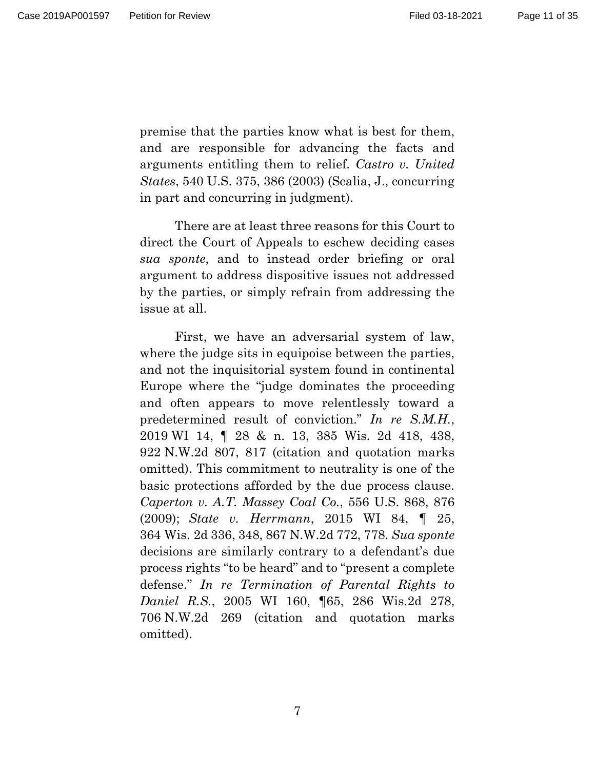Page 11 of 35

premise that the parties know what is best for them, and are responsible for advancing the facts and arguments entitling them to relief. *Castro v. United States*, 540 U.S. 375, 386 (2003) (Scalia, J., concurring in part and concurring in judgment).

There are at least three reasons for this Court to direct the Court of Appeals to eschew deciding cases *sua sponte*, and to instead order briefing or oral argument to address dispositive issues not addressed by the parties, or simply refrain from addressing the issue at all.

First, we have an adversarial system of law, where the judge sits in equipoise between the parties, and not the inquisitorial system found in continental Europe where the "judge dominates the proceeding and often appears to move relentlessly toward a predetermined result of conviction." *In re S.M.H.*, 2019 WI 14, ¶ 28 & n. 13, 385 Wis. 2d 418, 438, 922 N.W.2d 807, 817 (citation and quotation marks omitted). This commitment to neutrality is one of the basic protections afforded by the due process clause. *Caperton v. A.T. Massey Coal Co.*, 556 U.S. 868, 876 (2009); *State v. Herrmann*, 2015 WI 84, ¶ 25, 364 Wis. 2d 336, 348, 867 N.W.2d 772, 778. *Sua sponte* decisions are similarly contrary to a defendant's due process rights "to be heard" and to "present a complete defense." *In re Termination of Parental Rights to Daniel R.S.*, 2005 WI 160, ¶65, 286 Wis.2d 278, 706 N.W.2d 269 (citation and quotation marks omitted).

7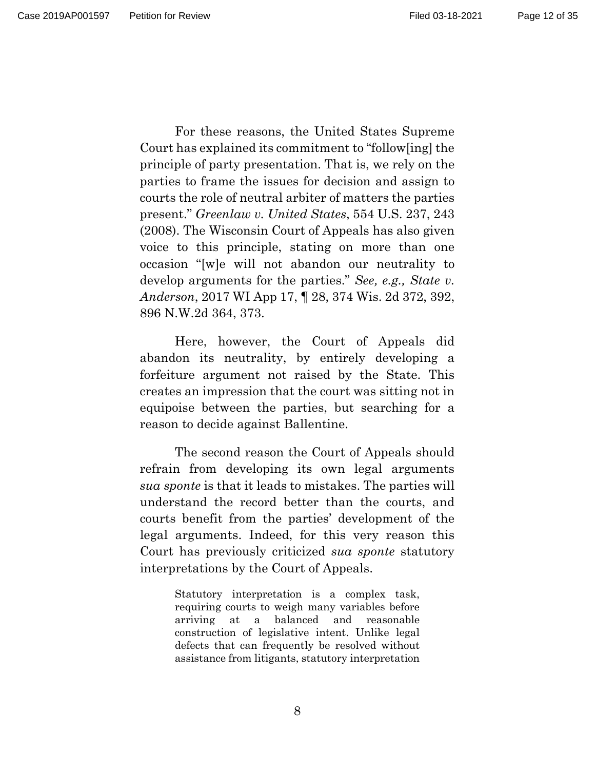For these reasons, the United States Supreme Court has explained its commitment to "follow[ing] the principle of party presentation. That is, we rely on the parties to frame the issues for decision and assign to courts the role of neutral arbiter of matters the parties present." *Greenlaw v. United States*, 554 U.S. 237, 243 (2008). The Wisconsin Court of Appeals has also given voice to this principle, stating on more than one occasion "[w]e will not abandon our neutrality to develop arguments for the parties." *See, e.g., State v. Anderson*, 2017 WI App 17, ¶ 28, 374 Wis. 2d 372, 392,

Here, however, the Court of Appeals did abandon its neutrality, by entirely developing a forfeiture argument not raised by the State. This creates an impression that the court was sitting not in equipoise between the parties, but searching for a reason to decide against Ballentine.

896 N.W.2d 364, 373.

The second reason the Court of Appeals should refrain from developing its own legal arguments *sua sponte* is that it leads to mistakes. The parties will understand the record better than the courts, and courts benefit from the parties' development of the legal arguments. Indeed, for this very reason this Court has previously criticized *sua sponte* statutory interpretations by the Court of Appeals.

> Statutory interpretation is a complex task, requiring courts to weigh many variables before arriving at a balanced and reasonable construction of legislative intent. Unlike legal defects that can frequently be resolved without assistance from litigants, statutory interpretation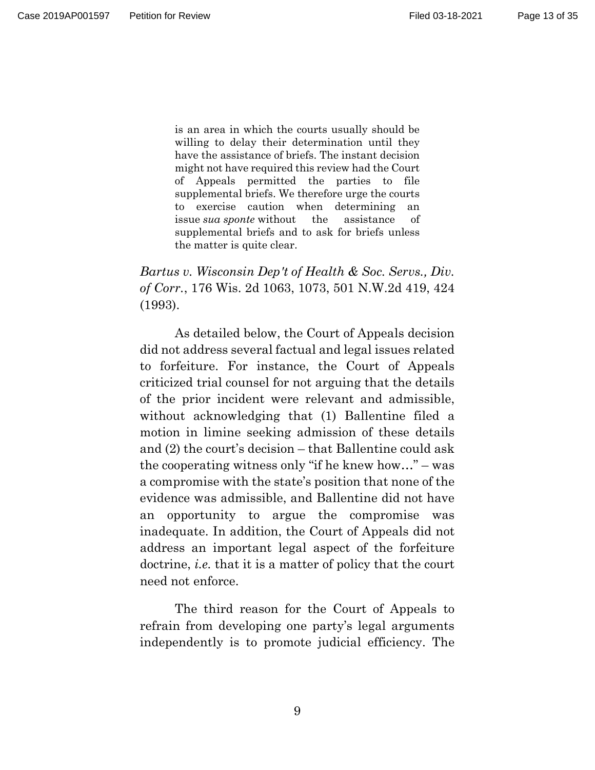is an area in which the courts usually should be willing to delay their determination until they have the assistance of briefs. The instant decision might not have required this review had the Court of Appeals permitted the parties to file supplemental briefs. We therefore urge the courts to exercise caution when determining an issue *sua sponte* without the assistance of supplemental briefs and to ask for briefs unless the matter is quite clear.

*Bartus v. Wisconsin Dep't of Health & Soc. Servs., Div. of Corr.*, 176 Wis. 2d 1063, 1073, 501 N.W.2d 419, 424 (1993).

As detailed below, the Court of Appeals decision did not address several factual and legal issues related to forfeiture. For instance, the Court of Appeals criticized trial counsel for not arguing that the details of the prior incident were relevant and admissible, without acknowledging that (1) Ballentine filed a motion in limine seeking admission of these details and (2) the court's decision – that Ballentine could ask the cooperating witness only "if he knew how…" – was a compromise with the state's position that none of the evidence was admissible, and Ballentine did not have an opportunity to argue the compromise was inadequate. In addition, the Court of Appeals did not address an important legal aspect of the forfeiture doctrine, *i.e.* that it is a matter of policy that the court need not enforce.

The third reason for the Court of Appeals to refrain from developing one party's legal arguments independently is to promote judicial efficiency. The

9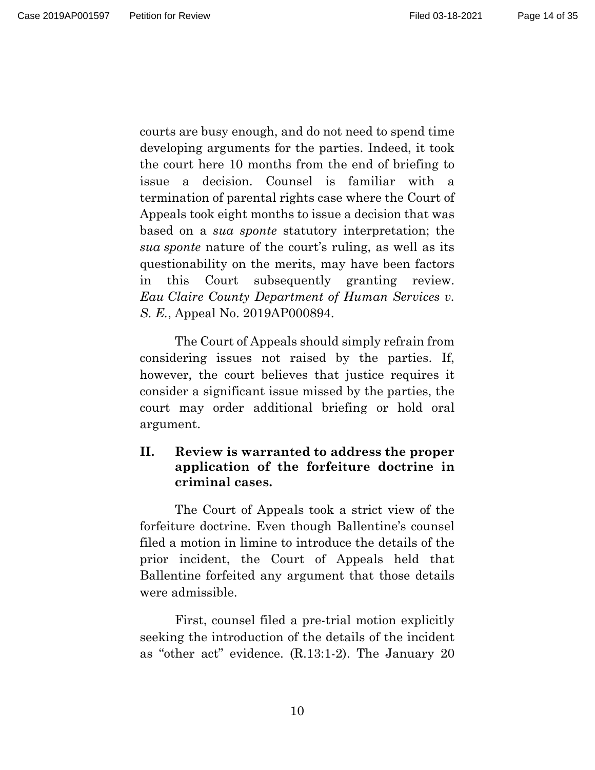Page 14 of 35

courts are busy enough, and do not need to spend time developing arguments for the parties. Indeed, it took the court here 10 months from the end of briefing to issue a decision. Counsel is familiar with a termination of parental rights case where the Court of Appeals took eight months to issue a decision that was based on a *sua sponte* statutory interpretation; the *sua sponte* nature of the court's ruling, as well as its questionability on the merits, may have been factors in this Court subsequently granting review. *Eau Claire County Department of Human Services v. S. E.*, Appeal No. 2019AP000894.

The Court of Appeals should simply refrain from considering issues not raised by the parties. If, however, the court believes that justice requires it consider a significant issue missed by the parties, the court may order additional briefing or hold oral argument.

# **II. Review is warranted to address the proper application of the forfeiture doctrine in criminal cases.**

The Court of Appeals took a strict view of the forfeiture doctrine. Even though Ballentine's counsel filed a motion in limine to introduce the details of the prior incident, the Court of Appeals held that Ballentine forfeited any argument that those details were admissible.

First, counsel filed a pre-trial motion explicitly seeking the introduction of the details of the incident as "other act" evidence. (R.13:1-2). The January 20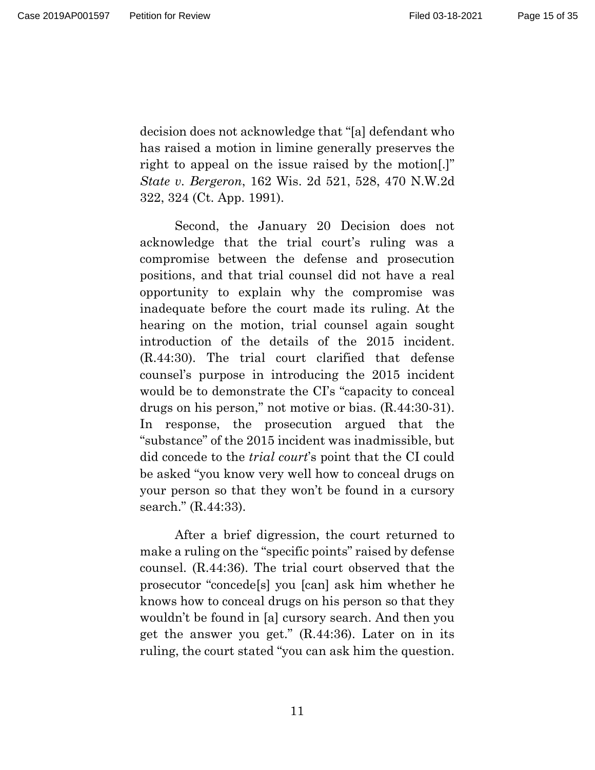decision does not acknowledge that "[a] defendant who has raised a motion in limine generally preserves the right to appeal on the issue raised by the motion[.]" *State v. Bergeron*, 162 Wis. 2d 521, 528, 470 N.W.2d 322, 324 (Ct. App. 1991).

Second, the January 20 Decision does not acknowledge that the trial court's ruling was a compromise between the defense and prosecution positions, and that trial counsel did not have a real opportunity to explain why the compromise was inadequate before the court made its ruling. At the hearing on the motion, trial counsel again sought introduction of the details of the 2015 incident. (R.44:30). The trial court clarified that defense counsel's purpose in introducing the 2015 incident would be to demonstrate the CI's "capacity to conceal drugs on his person," not motive or bias. (R.44:30-31). In response, the prosecution argued that the "substance" of the 2015 incident was inadmissible, but did concede to the *trial court*'s point that the CI could be asked "you know very well how to conceal drugs on your person so that they won't be found in a cursory search." (R.44:33).

After a brief digression, the court returned to make a ruling on the "specific points" raised by defense counsel. (R.44:36). The trial court observed that the prosecutor "concede[s] you [can] ask him whether he knows how to conceal drugs on his person so that they wouldn't be found in [a] cursory search. And then you get the answer you get." (R.44:36). Later on in its ruling, the court stated "you can ask him the question.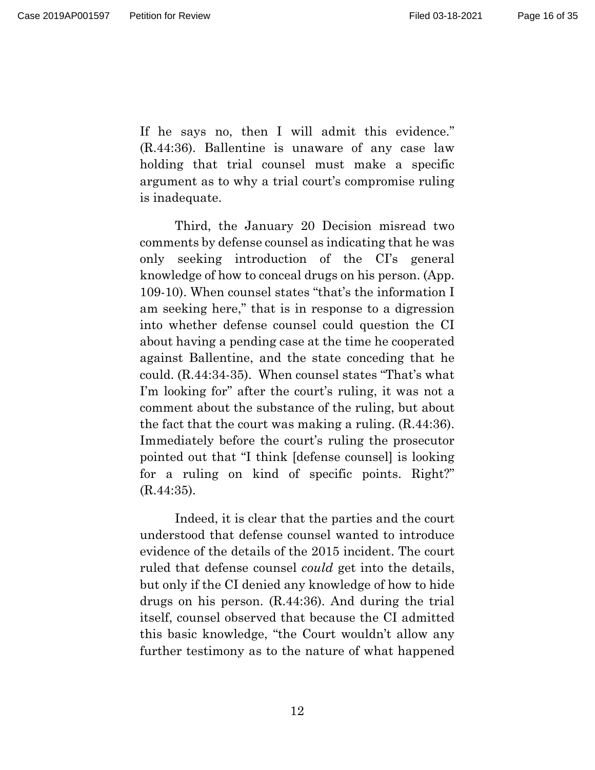is inadequate.

If he says no, then I will admit this evidence." (R.44:36). Ballentine is unaware of any case law holding that trial counsel must make a specific argument as to why a trial court's compromise ruling

Third, the January 20 Decision misread two comments by defense counsel as indicating that he was only seeking introduction of the CI's general knowledge of how to conceal drugs on his person. (App. 109-10). When counsel states "that's the information I am seeking here," that is in response to a digression into whether defense counsel could question the CI about having a pending case at the time he cooperated against Ballentine, and the state conceding that he could. (R.44:34-35). When counsel states "That's what I'm looking for" after the court's ruling, it was not a comment about the substance of the ruling, but about the fact that the court was making a ruling. (R.44:36). Immediately before the court's ruling the prosecutor pointed out that "I think [defense counsel] is looking for a ruling on kind of specific points. Right?" (R.44:35).

Indeed, it is clear that the parties and the court understood that defense counsel wanted to introduce evidence of the details of the 2015 incident. The court ruled that defense counsel *could* get into the details, but only if the CI denied any knowledge of how to hide drugs on his person. (R.44:36). And during the trial itself, counsel observed that because the CI admitted this basic knowledge, "the Court wouldn't allow any further testimony as to the nature of what happened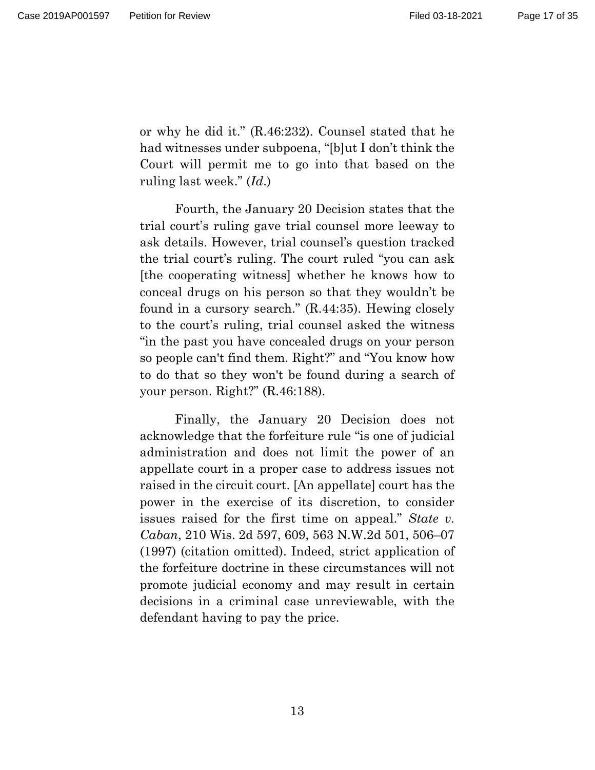or why he did it." (R.46:232). Counsel stated that he had witnesses under subpoena, "[b]ut I don't think the Court will permit me to go into that based on the ruling last week." (*Id*.)

Fourth, the January 20 Decision states that the trial court's ruling gave trial counsel more leeway to ask details. However, trial counsel's question tracked the trial court's ruling. The court ruled "you can ask [the cooperating witness] whether he knows how to conceal drugs on his person so that they wouldn't be found in a cursory search." (R.44:35). Hewing closely to the court's ruling, trial counsel asked the witness "in the past you have concealed drugs on your person so people can't find them. Right?" and "You know how to do that so they won't be found during a search of your person. Right?" (R.46:188).

Finally, the January 20 Decision does not acknowledge that the forfeiture rule "is one of judicial administration and does not limit the power of an appellate court in a proper case to address issues not raised in the circuit court. [An appellate] court has the power in the exercise of its discretion, to consider issues raised for the first time on appeal." *State v. Caban*, 210 Wis. 2d 597, 609, 563 N.W.2d 501, 506–07 (1997) (citation omitted). Indeed, strict application of the forfeiture doctrine in these circumstances will not promote judicial economy and may result in certain decisions in a criminal case unreviewable, with the defendant having to pay the price.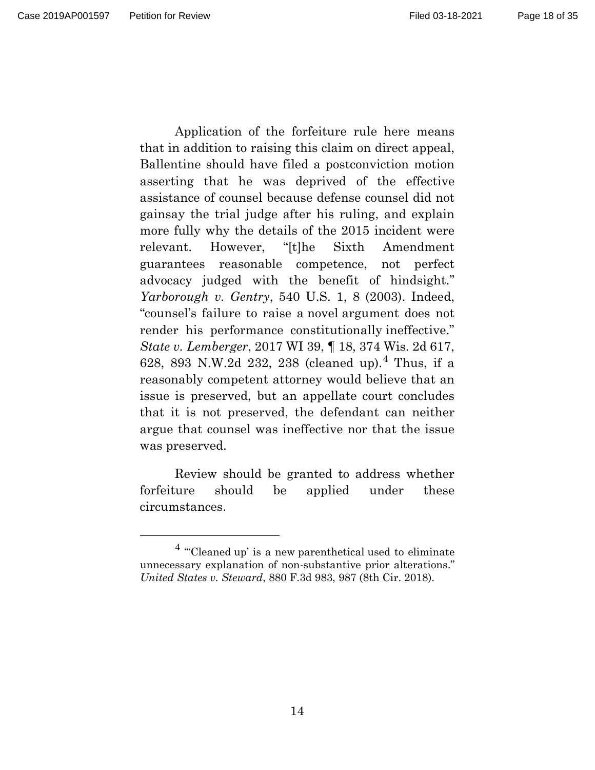Application of the forfeiture rule here means that in addition to raising this claim on direct appeal, Ballentine should have filed a postconviction motion asserting that he was deprived of the effective assistance of counsel because defense counsel did not gainsay the trial judge after his ruling, and explain more fully why the details of the 2015 incident were relevant. However, "[t]he Sixth Amendment guarantees reasonable competence, not perfect advocacy judged with the benefit of hindsight." *Yarborough v. Gentry*, 540 U.S. 1, 8 (2003). Indeed, "counsel's failure to raise a novel argument does not render his performance constitutionally ineffective." *State v. Lemberger*, 2017 WI 39, ¶ 18, 374 Wis. 2d 617, 628, 893 N.W.2d 232, 238 (cleaned up).[4](#page-17-0) Thus, if a

reasonably competent attorney would believe that an issue is preserved, but an appellate court concludes that it is not preserved, the defendant can neither argue that counsel was ineffective nor that the issue was preserved.

Review should be granted to address whether forfeiture should be applied under these circumstances.

<span id="page-17-0"></span> $4$  "Cleaned up' is a new parenthetical used to eliminate unnecessary explanation of non-substantive prior alterations." *United States v. Steward*, 880 F.3d 983, 987 (8th Cir. 2018).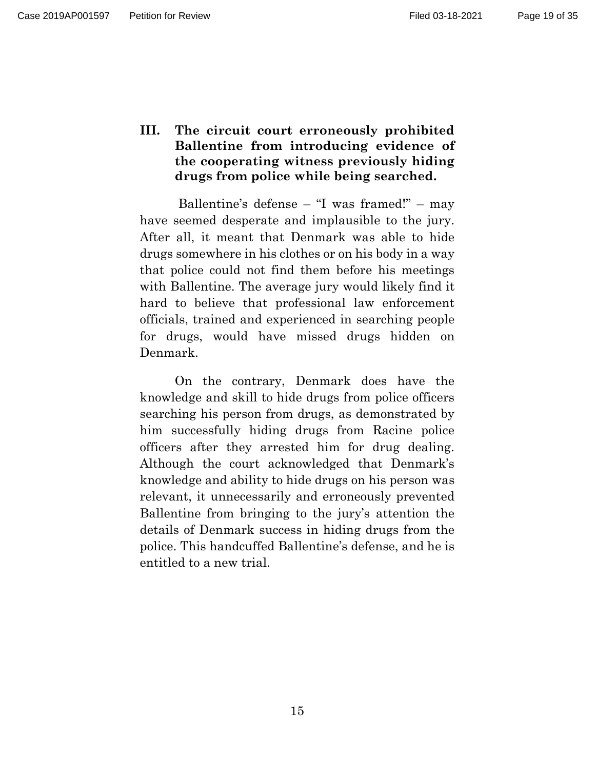Page 19 of 35

**III. The circuit court erroneously prohibited Ballentine from introducing evidence of the cooperating witness previously hiding drugs from police while being searched.** 

Ballentine's defense – "I was framed!" – may have seemed desperate and implausible to the jury. After all, it meant that Denmark was able to hide drugs somewhere in his clothes or on his body in a way that police could not find them before his meetings with Ballentine. The average jury would likely find it hard to believe that professional law enforcement officials, trained and experienced in searching people for drugs, would have missed drugs hidden on Denmark.

On the contrary, Denmark does have the knowledge and skill to hide drugs from police officers searching his person from drugs, as demonstrated by him successfully hiding drugs from Racine police officers after they arrested him for drug dealing. Although the court acknowledged that Denmark's knowledge and ability to hide drugs on his person was relevant, it unnecessarily and erroneously prevented Ballentine from bringing to the jury's attention the details of Denmark success in hiding drugs from the police. This handcuffed Ballentine's defense, and he is entitled to a new trial.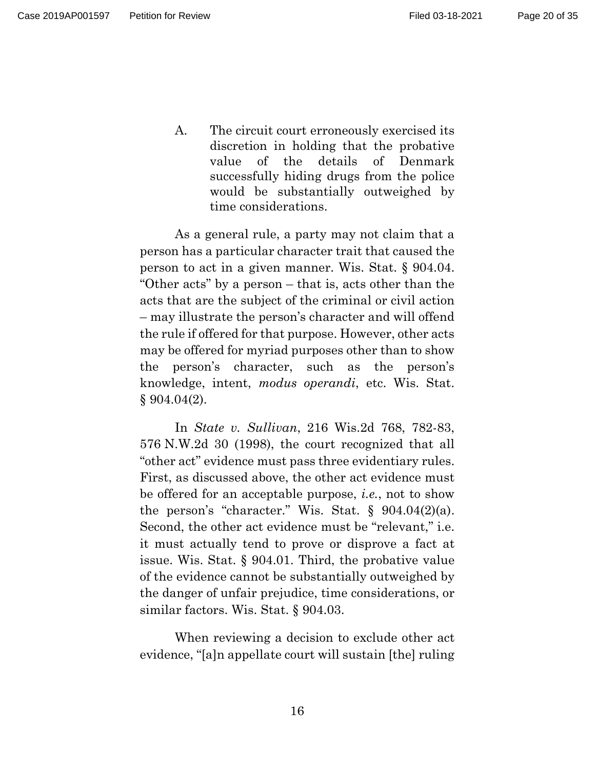Page 20 of 35

A. The circuit court erroneously exercised its discretion in holding that the probative value of the details of Denmark successfully hiding drugs from the police would be substantially outweighed by time considerations.

As a general rule, a party may not claim that a person has a particular character trait that caused the person to act in a given manner. Wis. Stat. § 904.04. "Other acts" by a person – that is, acts other than the acts that are the subject of the criminal or civil action – may illustrate the person's character and will offend the rule if offered for that purpose. However, other acts may be offered for myriad purposes other than to show the person's character, such as the person's knowledge, intent, *modus operandi*, etc. Wis. Stat.  $§ 904.04(2).$ 

In *State v. Sullivan*, 216 Wis.2d 768, 782-83, 576 N.W.2d 30 (1998), the court recognized that all "other act" evidence must pass three evidentiary rules. First, as discussed above, the other act evidence must be offered for an acceptable purpose, *i.e.*, not to show the person's "character." Wis. Stat.  $\S$  904.04(2)(a). Second, the other act evidence must be "relevant," i.e. it must actually tend to prove or disprove a fact at issue. Wis. Stat. § 904.01. Third, the probative value of the evidence cannot be substantially outweighed by the danger of unfair prejudice, time considerations, or similar factors. Wis. Stat. § 904.03.

When reviewing a decision to exclude other act evidence, "[a]n appellate court will sustain [the] ruling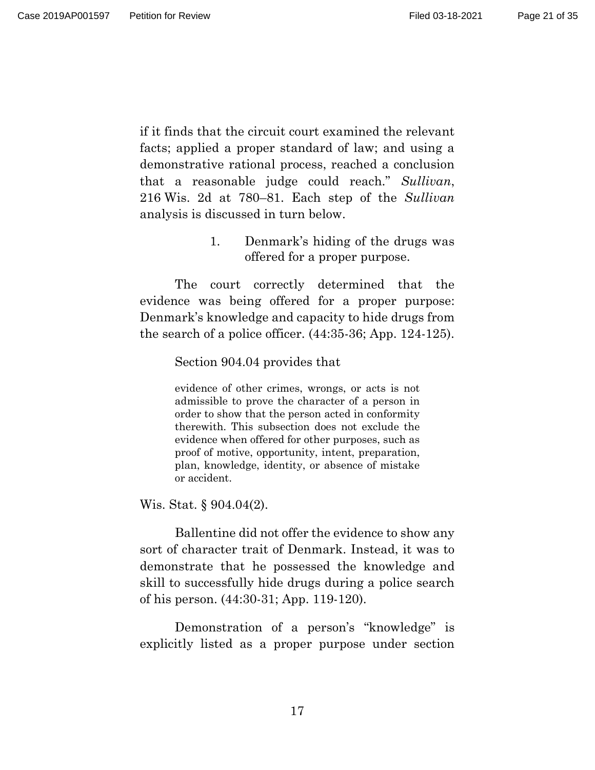Page 21 of 35

if it finds that the circuit court examined the relevant facts; applied a proper standard of law; and using a demonstrative rational process, reached a conclusion that a reasonable judge could reach." *Sullivan*, 216 Wis. 2d at 780–81. Each step of the *Sullivan* analysis is discussed in turn below.

> 1. Denmark's hiding of the drugs was offered for a proper purpose.

The court correctly determined that the evidence was being offered for a proper purpose: Denmark's knowledge and capacity to hide drugs from the search of a police officer. (44:35-36; App. 124-125).

Section 904.04 provides that

evidence of other crimes, wrongs, or acts is not admissible to prove the character of a person in order to show that the person acted in conformity therewith. This subsection does not exclude the evidence when offered for other purposes, such as proof of motive, opportunity, intent, preparation, plan, knowledge, identity, or absence of mistake or accident.

Wis. Stat. § 904.04(2).

Ballentine did not offer the evidence to show any sort of character trait of Denmark. Instead, it was to demonstrate that he possessed the knowledge and skill to successfully hide drugs during a police search of his person. (44:30-31; App. 119-120).

Demonstration of a person's "knowledge" is explicitly listed as a proper purpose under section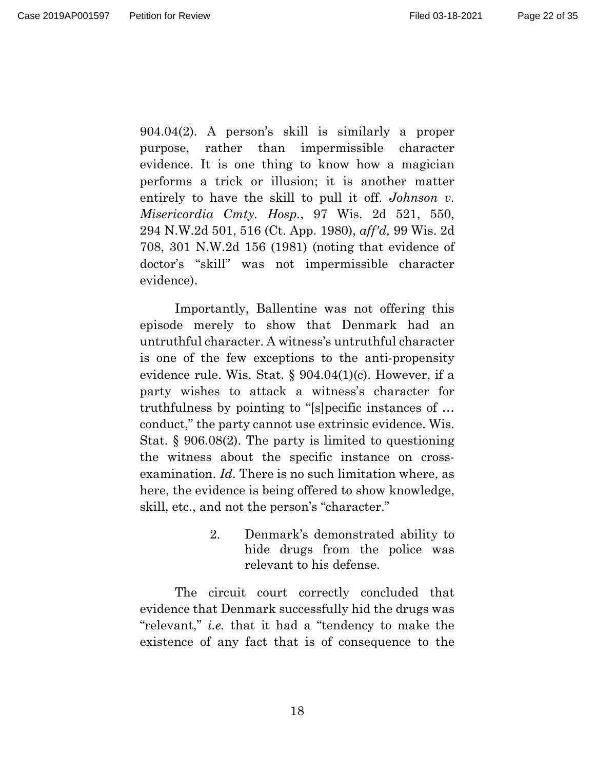Page 22 of 35

904.04(2). A person's skill is similarly a proper purpose, rather than impermissible character evidence. It is one thing to know how a magician performs a trick or illusion; it is another matter entirely to have the skill to pull it off. *Johnson v. Misericordia Cmty. Hosp.*, 97 Wis. 2d 521, 550, 294 N.W.2d 501, 516 (Ct. App. 1980), *aff'd,* 99 Wis. 2d 708, 301 N.W.2d 156 (1981) (noting that evidence of doctor's "skill" was not impermissible character evidence).

Importantly, Ballentine was not offering this episode merely to show that Denmark had an untruthful character. A witness's untruthful character is one of the few exceptions to the anti-propensity evidence rule. Wis. Stat. § 904.04(1)(c). However, if a party wishes to attack a witness's character for truthfulness by pointing to "[s]pecific instances of … conduct," the party cannot use extrinsic evidence. Wis. Stat. § 906.08(2). The party is limited to questioning the witness about the specific instance on crossexamination. *Id*. There is no such limitation where, as here, the evidence is being offered to show knowledge, skill, etc., and not the person's "character."

> 2. Denmark's demonstrated ability to hide drugs from the police was relevant to his defense.

The circuit court correctly concluded that evidence that Denmark successfully hid the drugs was "relevant," *i.e.* that it had a "tendency to make the existence of any fact that is of consequence to the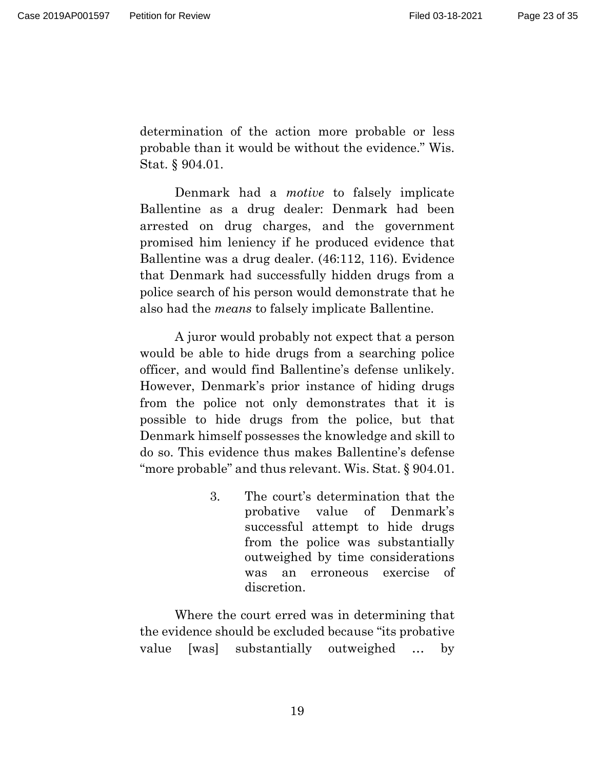determination of the action more probable or less probable than it would be without the evidence." Wis. Stat. § 904.01.

Denmark had a *motive* to falsely implicate Ballentine as a drug dealer: Denmark had been arrested on drug charges, and the government promised him leniency if he produced evidence that Ballentine was a drug dealer. (46:112, 116). Evidence that Denmark had successfully hidden drugs from a police search of his person would demonstrate that he also had the *means* to falsely implicate Ballentine.

A juror would probably not expect that a person would be able to hide drugs from a searching police officer, and would find Ballentine's defense unlikely. However, Denmark's prior instance of hiding drugs from the police not only demonstrates that it is possible to hide drugs from the police, but that Denmark himself possesses the knowledge and skill to do so. This evidence thus makes Ballentine's defense "more probable" and thus relevant. Wis. Stat. § 904.01.

> 3. The court's determination that the probative value of Denmark's successful attempt to hide drugs from the police was substantially outweighed by time considerations was an erroneous exercise of discretion.

Where the court erred was in determining that the evidence should be excluded because "its probative value [was] substantially outweighed … by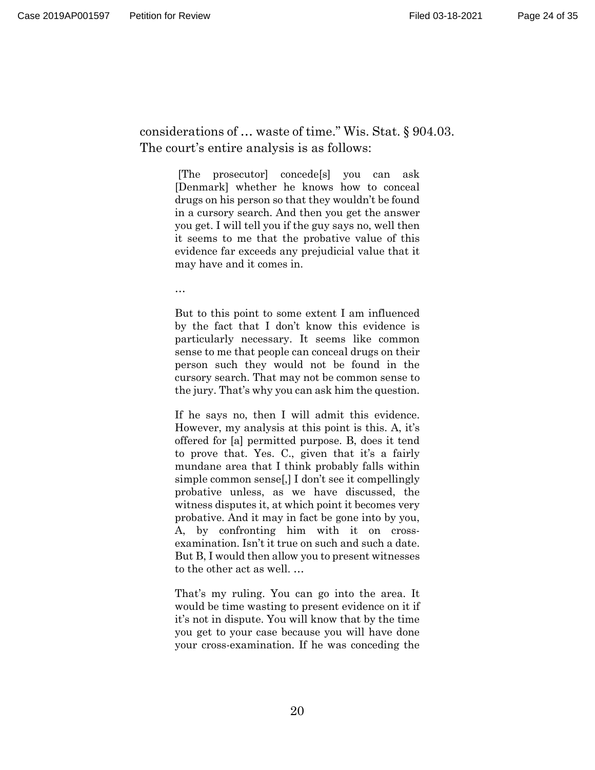considerations of … waste of time." Wis. Stat. § 904.03. The court's entire analysis is as follows:

> [The prosecutor] concede[s] you can ask [Denmark] whether he knows how to conceal drugs on his person so that they wouldn't be found in a cursory search. And then you get the answer you get. I will tell you if the guy says no, well then it seems to me that the probative value of this evidence far exceeds any prejudicial value that it may have and it comes in.

…

But to this point to some extent I am influenced by the fact that I don't know this evidence is particularly necessary. It seems like common sense to me that people can conceal drugs on their person such they would not be found in the cursory search. That may not be common sense to the jury. That's why you can ask him the question.

If he says no, then I will admit this evidence. However, my analysis at this point is this. A, it's offered for [a] permitted purpose. B, does it tend to prove that. Yes. C., given that it's a fairly mundane area that I think probably falls within simple common sense[,] I don't see it compellingly probative unless, as we have discussed, the witness disputes it, at which point it becomes very probative. And it may in fact be gone into by you, A, by confronting him with it on crossexamination. Isn't it true on such and such a date. But B, I would then allow you to present witnesses to the other act as well. …

That's my ruling. You can go into the area. It would be time wasting to present evidence on it if it's not in dispute. You will know that by the time you get to your case because you will have done your cross-examination. If he was conceding the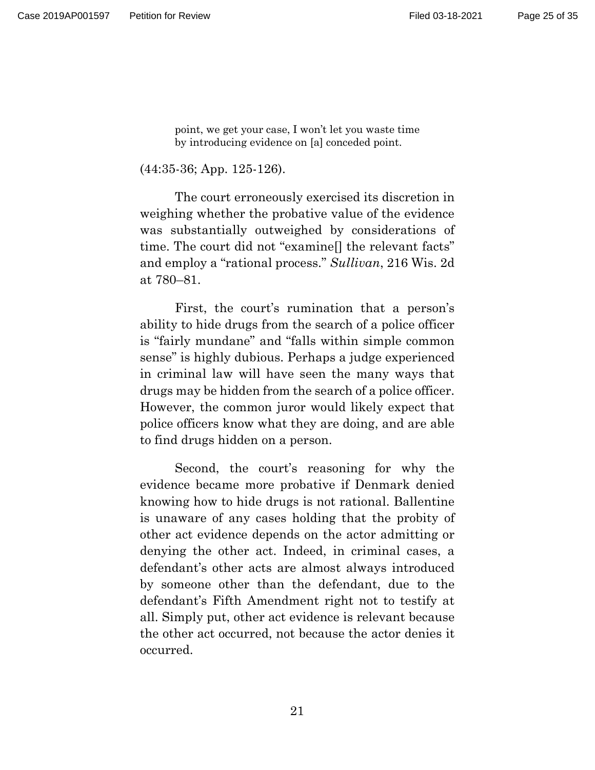point, we get your case, I won't let you waste time by introducing evidence on [a] conceded point.

(44:35-36; App. 125-126).

The court erroneously exercised its discretion in weighing whether the probative value of the evidence was substantially outweighed by considerations of time. The court did not "examine[] the relevant facts" and employ a "rational process." *Sullivan*, 216 Wis. 2d at 780–81.

First, the court's rumination that a person's ability to hide drugs from the search of a police officer is "fairly mundane" and "falls within simple common sense" is highly dubious. Perhaps a judge experienced in criminal law will have seen the many ways that drugs may be hidden from the search of a police officer. However, the common juror would likely expect that police officers know what they are doing, and are able to find drugs hidden on a person.

Second, the court's reasoning for why the evidence became more probative if Denmark denied knowing how to hide drugs is not rational. Ballentine is unaware of any cases holding that the probity of other act evidence depends on the actor admitting or denying the other act. Indeed, in criminal cases, a defendant's other acts are almost always introduced by someone other than the defendant, due to the defendant's Fifth Amendment right not to testify at all. Simply put, other act evidence is relevant because the other act occurred, not because the actor denies it occurred.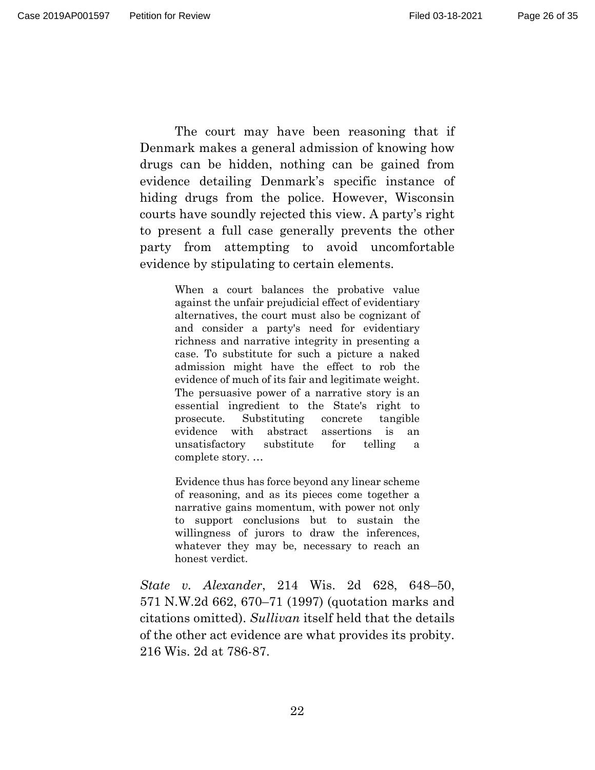The court may have been reasoning that if Denmark makes a general admission of knowing how drugs can be hidden, nothing can be gained from evidence detailing Denmark's specific instance of hiding drugs from the police. However, Wisconsin courts have soundly rejected this view. A party's right to present a full case generally prevents the other party from attempting to avoid uncomfortable evidence by stipulating to certain elements.

> When a court balances the probative value against the unfair prejudicial effect of evidentiary alternatives, the court must also be cognizant of and consider a party's need for evidentiary richness and narrative integrity in presenting a case. To substitute for such a picture a naked admission might have the effect to rob the evidence of much of its fair and legitimate weight. The persuasive power of a narrative story is an essential ingredient to the State's right to prosecute. Substituting concrete tangible evidence with abstract assertions is an unsatisfactory substitute for telling a complete story. …

> Evidence thus has force beyond any linear scheme of reasoning, and as its pieces come together a narrative gains momentum, with power not only to support conclusions but to sustain the willingness of jurors to draw the inferences, whatever they may be, necessary to reach an honest verdict.

*State v. Alexander*, 214 Wis. 2d 628, 648–50, 571 N.W.2d 662, 670–71 (1997) (quotation marks and citations omitted). *Sullivan* itself held that the details of the other act evidence are what provides its probity. 216 Wis. 2d at 786-87.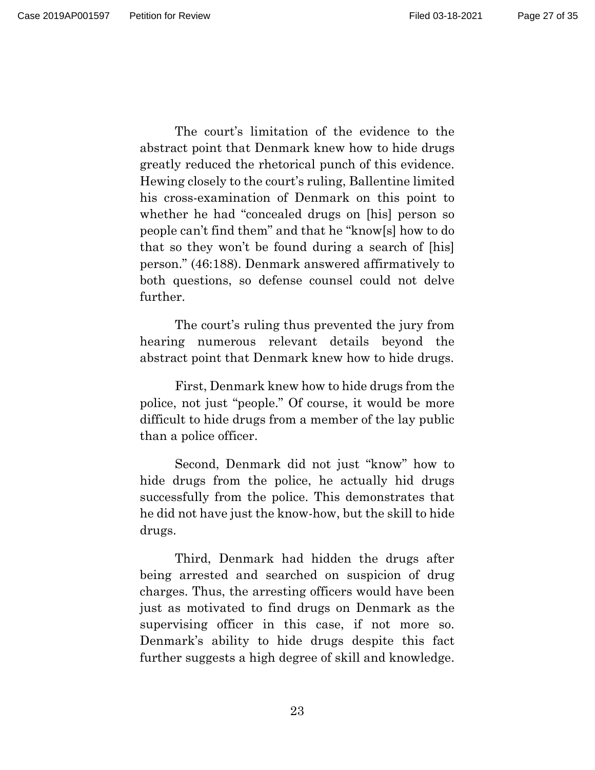Page 27 of 35

The court's limitation of the evidence to the abstract point that Denmark knew how to hide drugs greatly reduced the rhetorical punch of this evidence. Hewing closely to the court's ruling, Ballentine limited his cross-examination of Denmark on this point to whether he had "concealed drugs on [his] person so people can't find them" and that he "know[s] how to do that so they won't be found during a search of [his] person." (46:188). Denmark answered affirmatively to both questions, so defense counsel could not delve further.

The court's ruling thus prevented the jury from hearing numerous relevant details beyond the abstract point that Denmark knew how to hide drugs.

First, Denmark knew how to hide drugs from the police, not just "people." Of course, it would be more difficult to hide drugs from a member of the lay public than a police officer.

Second, Denmark did not just "know" how to hide drugs from the police, he actually hid drugs successfully from the police. This demonstrates that he did not have just the know-how, but the skill to hide drugs.

Third, Denmark had hidden the drugs after being arrested and searched on suspicion of drug charges. Thus, the arresting officers would have been just as motivated to find drugs on Denmark as the supervising officer in this case, if not more so. Denmark's ability to hide drugs despite this fact further suggests a high degree of skill and knowledge.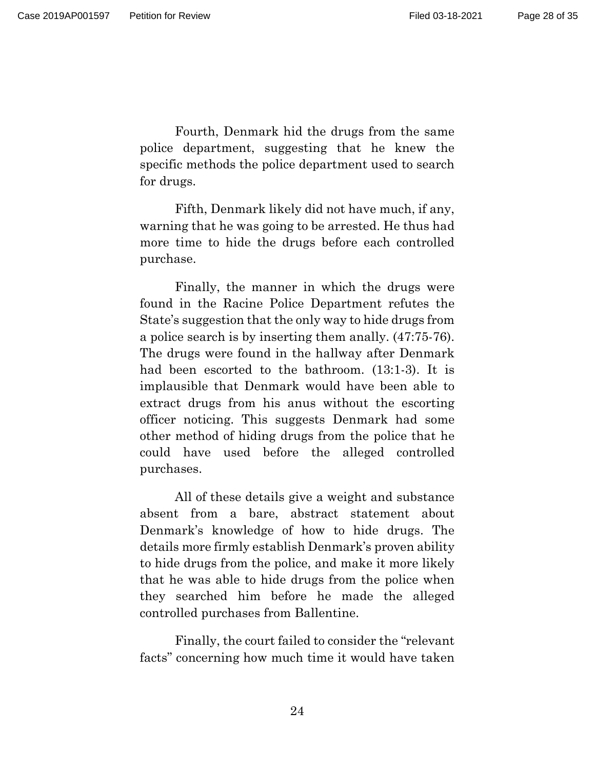Fourth, Denmark hid the drugs from the same police department, suggesting that he knew the specific methods the police department used to search for drugs.

Fifth, Denmark likely did not have much, if any, warning that he was going to be arrested. He thus had more time to hide the drugs before each controlled purchase.

Finally, the manner in which the drugs were found in the Racine Police Department refutes the State's suggestion that the only way to hide drugs from a police search is by inserting them anally. (47:75-76). The drugs were found in the hallway after Denmark had been escorted to the bathroom. (13:1-3). It is implausible that Denmark would have been able to extract drugs from his anus without the escorting officer noticing. This suggests Denmark had some other method of hiding drugs from the police that he could have used before the alleged controlled purchases.

All of these details give a weight and substance absent from a bare, abstract statement about Denmark's knowledge of how to hide drugs. The details more firmly establish Denmark's proven ability to hide drugs from the police, and make it more likely that he was able to hide drugs from the police when they searched him before he made the alleged controlled purchases from Ballentine.

Finally, the court failed to consider the "relevant facts" concerning how much time it would have taken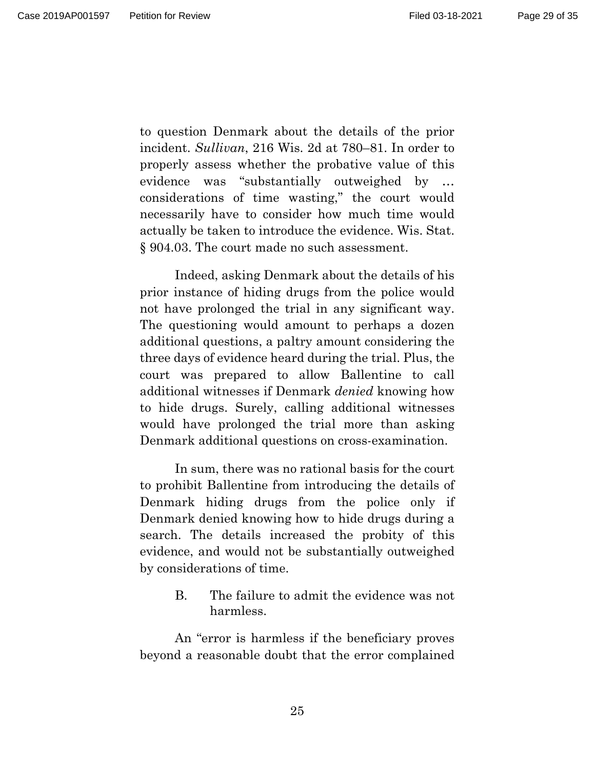Page 29 of 35

to question Denmark about the details of the prior incident. *Sullivan*, 216 Wis. 2d at 780–81. In order to properly assess whether the probative value of this evidence was "substantially outweighed by … considerations of time wasting," the court would necessarily have to consider how much time would actually be taken to introduce the evidence. Wis. Stat. § 904.03. The court made no such assessment.

Indeed, asking Denmark about the details of his prior instance of hiding drugs from the police would not have prolonged the trial in any significant way. The questioning would amount to perhaps a dozen additional questions, a paltry amount considering the three days of evidence heard during the trial. Plus, the court was prepared to allow Ballentine to call additional witnesses if Denmark *denied* knowing how to hide drugs. Surely, calling additional witnesses would have prolonged the trial more than asking Denmark additional questions on cross-examination.

In sum, there was no rational basis for the court to prohibit Ballentine from introducing the details of Denmark hiding drugs from the police only if Denmark denied knowing how to hide drugs during a search. The details increased the probity of this evidence, and would not be substantially outweighed by considerations of time.

> B. The failure to admit the evidence was not harmless.

An "error is harmless if the beneficiary proves beyond a reasonable doubt that the error complained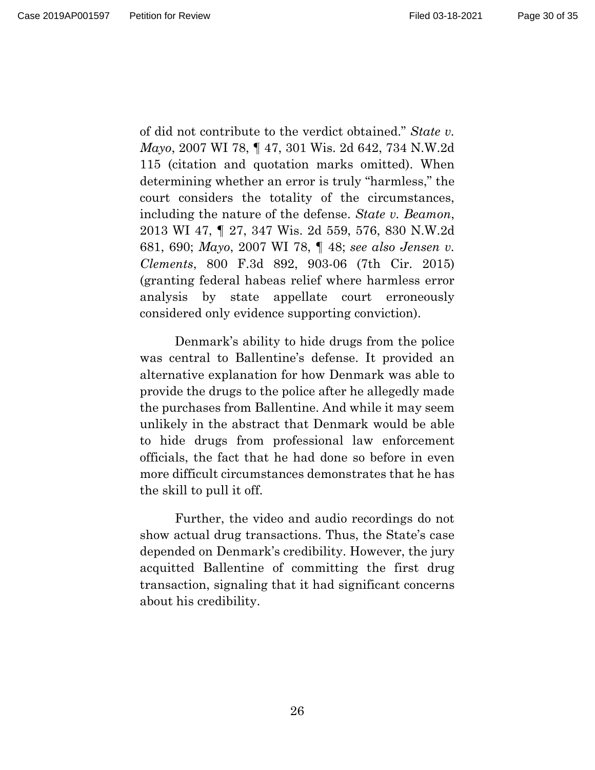Page 30 of 35

of did not contribute to the verdict obtained." *State v. Mayo*, 2007 WI 78, ¶ 47, 301 Wis. 2d 642, 734 N.W.2d 115 (citation and quotation marks omitted). When determining whether an error is truly "harmless," the court considers the totality of the circumstances, including the nature of the defense. *State v. Beamon*, 2013 WI 47, ¶ 27, 347 Wis. 2d 559, 576, 830 N.W.2d 681, 690; *Mayo*, 2007 WI 78, ¶ 48; *see also Jensen v. Clements*, 800 F.3d 892, 903-06 (7th Cir. 2015) (granting federal habeas relief where harmless error analysis by state appellate court erroneously considered only evidence supporting conviction).

Denmark's ability to hide drugs from the police was central to Ballentine's defense. It provided an alternative explanation for how Denmark was able to provide the drugs to the police after he allegedly made the purchases from Ballentine. And while it may seem unlikely in the abstract that Denmark would be able to hide drugs from professional law enforcement officials, the fact that he had done so before in even more difficult circumstances demonstrates that he has the skill to pull it off.

Further, the video and audio recordings do not show actual drug transactions. Thus, the State's case depended on Denmark's credibility. However, the jury acquitted Ballentine of committing the first drug transaction, signaling that it had significant concerns about his credibility.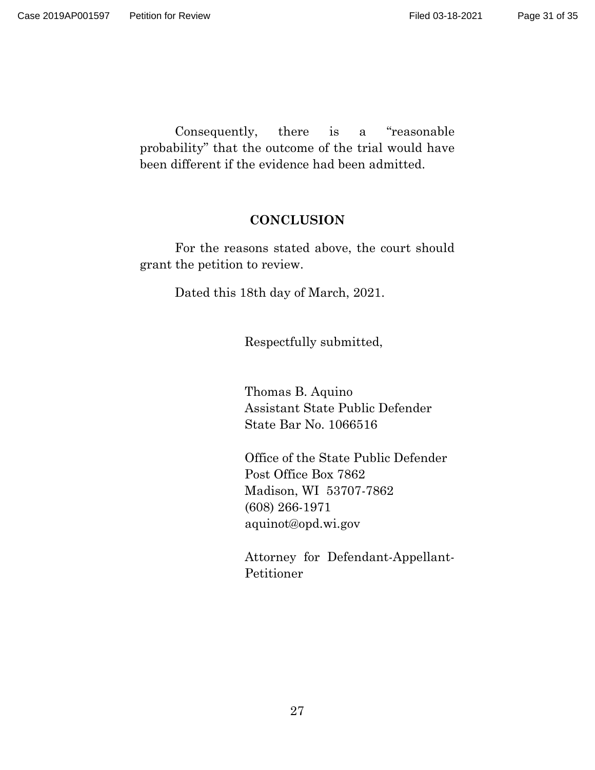Consequently, there is a "reasonable probability" that the outcome of the trial would have been different if the evidence had been admitted.

## **CONCLUSION**

For the reasons stated above, the court should grant the petition to review.

Dated this 18th day of March, 2021.

Respectfully submitted,

Thomas B. Aquino Assistant State Public Defender State Bar No. 1066516

Office of the State Public Defender Post Office Box 7862 Madison, WI 53707-7862 (608) 266-1971 aquinot@opd.wi.gov

Attorney for Defendant-Appellant-Petitioner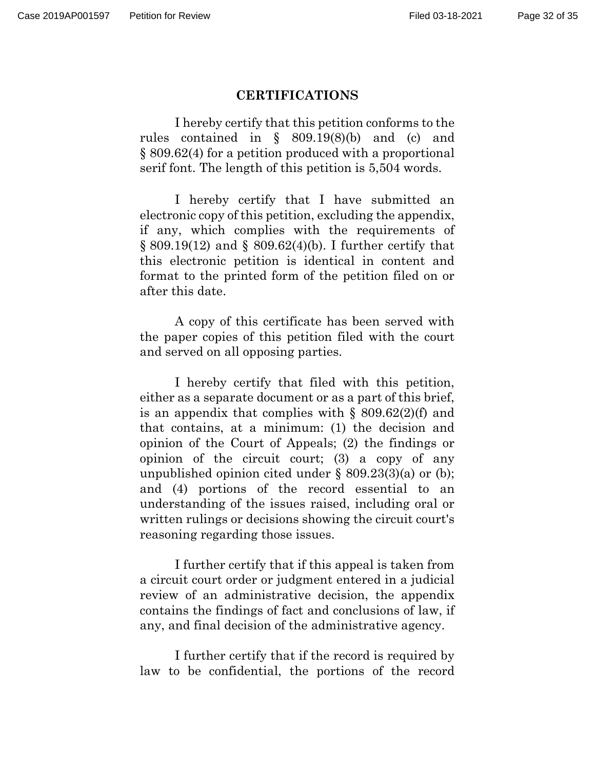### **CERTIFICATIONS**

I hereby certify that this petition conforms to the rules contained in § 809.19(8)(b) and (c) and § 809.62(4) for a petition produced with a proportional serif font. The length of this petition is 5,504 words.

I hereby certify that I have submitted an electronic copy of this petition, excluding the appendix, if any, which complies with the requirements of § 809.19(12) and § 809.62(4)(b). I further certify that this electronic petition is identical in content and format to the printed form of the petition filed on or after this date.

A copy of this certificate has been served with the paper copies of this petition filed with the court and served on all opposing parties.

I hereby certify that filed with this petition, either as a separate document or as a part of this brief, is an appendix that complies with  $\S$  809.62(2)(f) and that contains, at a minimum: (1) the decision and opinion of the Court of Appeals; (2) the findings or opinion of the circuit court; (3) a copy of any unpublished opinion cited under § 809.23(3)(a) or (b); and (4) portions of the record essential to an understanding of the issues raised, including oral or written rulings or decisions showing the circuit court's reasoning regarding those issues.

I further certify that if this appeal is taken from a circuit court order or judgment entered in a judicial review of an administrative decision, the appendix contains the findings of fact and conclusions of law, if any, and final decision of the administrative agency.

I further certify that if the record is required by law to be confidential, the portions of the record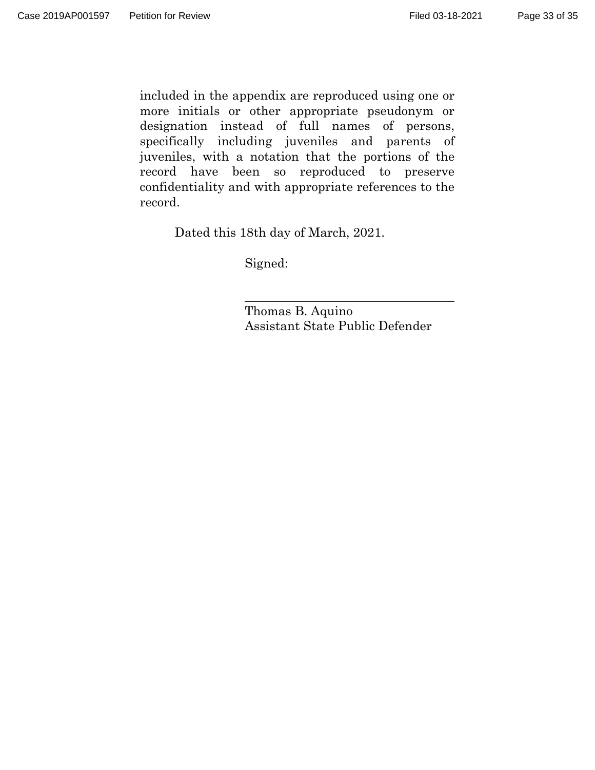included in the appendix are reproduced using one or more initials or other appropriate pseudonym or designation instead of full names of persons, specifically including juveniles and parents of juveniles, with a notation that the portions of the record have been so reproduced to preserve confidentiality and with appropriate references to the record.

Dated this 18th day of March, 2021.

Signed:

Thomas B. Aquino Assistant State Public Defender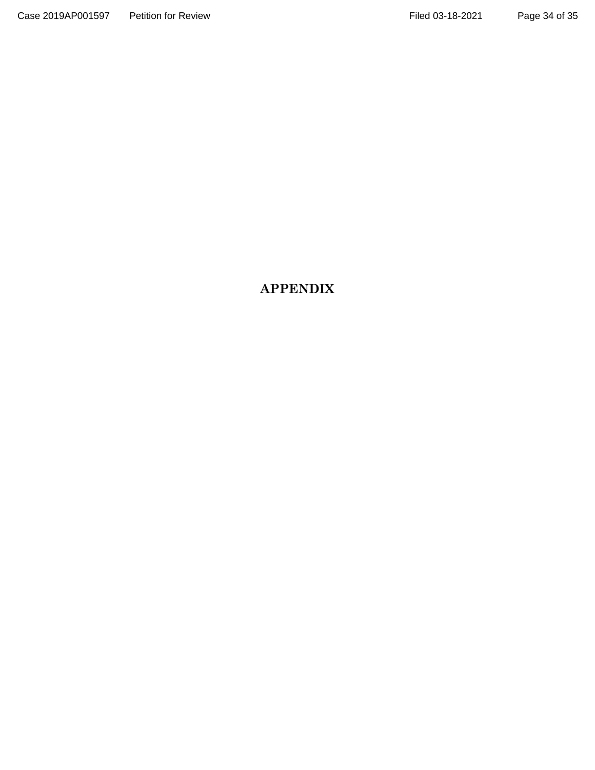# **APPENDIX**